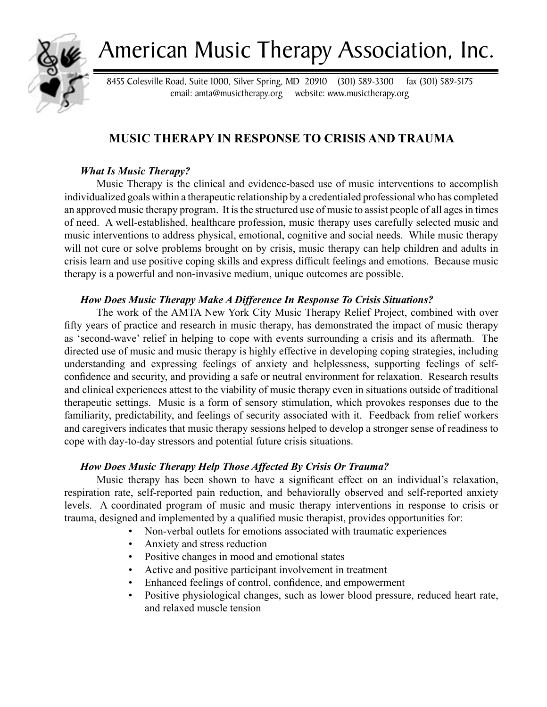

# American Music Therapy Association, Inc.

8455 Colesville Road, Suite 1000, Silver Spring, MD 20910 (301) 589-3300 fax (301) 589-5175 email: amta@musictherapy.org website: www.musictherapy.org

## **MUSIC THERAPY IN RESPONSE TO CRISIS AND TRAUMA**

## *What Is Music Therapy?*

Music Therapy is the clinical and evidence-based use of music interventions to accomplish individualized goals within a therapeutic relationship by a credentialed professional who has completed an approved music therapy program. It is the structured use of music to assist people of all ages in times of need. A well-established, healthcare profession, music therapy uses carefully selected music and music interventions to address physical, emotional, cognitive and social needs. While music therapy will not cure or solve problems brought on by crisis, music therapy can help children and adults in crisis learn and use positive coping skills and express difficult feelings and emotions. Because music therapy is a powerful and non-invasive medium, unique outcomes are possible.

### *How Does Music Therapy Make A Difference In Response To Crisis Situations?*

The work of the AMTA New York City Music Therapy Relief Project, combined with over fifty years of practice and research in music therapy, has demonstrated the impact of music therapy as 'second-wave' relief in helping to cope with events surrounding a crisis and its aftermath. The directed use of music and music therapy is highly effective in developing coping strategies, including understanding and expressing feelings of anxiety and helplessness, supporting feelings of selfconfidence and security, and providing a safe or neutral environment for relaxation. Research results and clinical experiences attest to the viability of music therapy even in situations outside of traditional therapeutic settings. Music is a form of sensory stimulation, which provokes responses due to the familiarity, predictability, and feelings of security associated with it. Feedback from relief workers and caregivers indicates that music therapy sessions helped to develop a stronger sense of readiness to cope with day-to-day stressors and potential future crisis situations.

## *How Does Music Therapy Help Those Affected By Crisis Or Trauma?*

Music therapy has been shown to have a significant effect on an individual's relaxation, respiration rate, self-reported pain reduction, and behaviorally observed and self-reported anxiety levels. A coordinated program of music and music therapy interventions in response to crisis or trauma, designed and implemented by a qualified music therapist, provides opportunities for:

- Non-verbal outlets for emotions associated with traumatic experiences •
- Anxiety and stress reduction •
- Positive changes in mood and emotional states •
- Active and positive participant involvement in treatment •
- Enhanced feelings of control, confidence, and empowerment •
- Positive physiological changes, such as lower blood pressure, reduced heart rate, and relaxed muscle tension •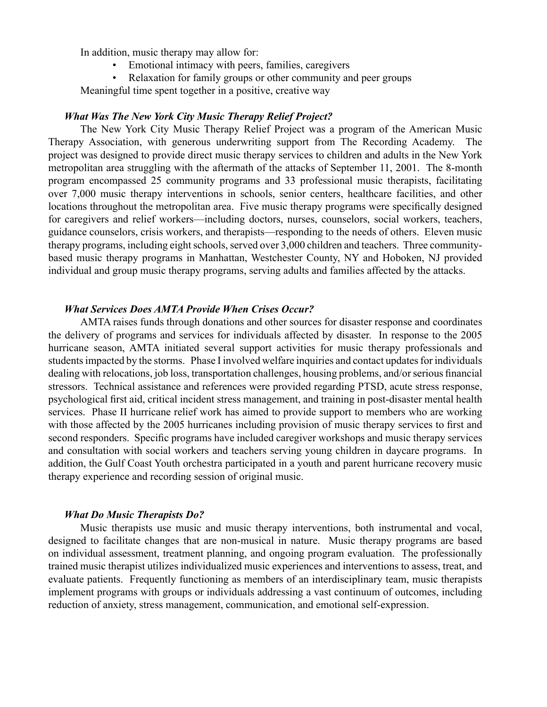In addition, music therapy may allow for:

- Emotional intimacy with peers, families, caregivers •
- Relaxation for family groups or other community and peer groups •

Meaningful time spent together in a positive, creative way

#### *What Was The New York City Music Therapy Relief Project?*

The New York City Music Therapy Relief Project was a program of the American Music Therapy Association, with generous underwriting support from The Recording Academy. The project was designed to provide direct music therapy services to children and adults in the New York metropolitan area struggling with the aftermath of the attacks of September 11, 2001. The 8-month program encompassed 25 community programs and 33 professional music therapists, facilitating over 7,000 music therapy interventions in schools, senior centers, healthcare facilities, and other locations throughout the metropolitan area. Five music therapy programs were specifically designed for caregivers and relief workers—including doctors, nurses, counselors, social workers, teachers, guidance counselors, crisis workers, and therapists—responding to the needs of others. Eleven music therapy programs, including eight schools, served over 3,000 children and teachers. Three communitybased music therapy programs in Manhattan, Westchester County, NY and Hoboken, NJ provided individual and group music therapy programs, serving adults and families affected by the attacks.

#### *What Services Does AMTA Provide When Crises Occur?*

AMTA raises funds through donations and other sources for disaster response and coordinates the delivery of programs and services for individuals affected by disaster. In response to the 2005 hurricane season, AMTA initiated several support activities for music therapy professionals and students impacted by the storms. Phase I involved welfare inquiries and contact updates for individuals dealing with relocations, job loss, transportation challenges, housing problems, and/or serious financial stressors. Technical assistance and references were provided regarding PTSD, acute stress response, psychological first aid, critical incident stress management, and training in post-disaster mental health services. Phase II hurricane relief work has aimed to provide support to members who are working with those affected by the 2005 hurricanes including provision of music therapy services to first and second responders. Specific programs have included caregiver workshops and music therapy services and consultation with social workers and teachers serving young children in daycare programs. In addition, the Gulf Coast Youth orchestra participated in a youth and parent hurricane recovery music therapy experience and recording session of original music.

#### *What Do Music Therapists Do?*

Music therapists use music and music therapy interventions, both instrumental and vocal, designed to facilitate changes that are non-musical in nature. Music therapy programs are based on individual assessment, treatment planning, and ongoing program evaluation. The professionally trained music therapist utilizes individualized music experiences and interventions to assess, treat, and evaluate patients. Frequently functioning as members of an interdisciplinary team, music therapists implement programs with groups or individuals addressing a vast continuum of outcomes, including reduction of anxiety, stress management, communication, and emotional self-expression.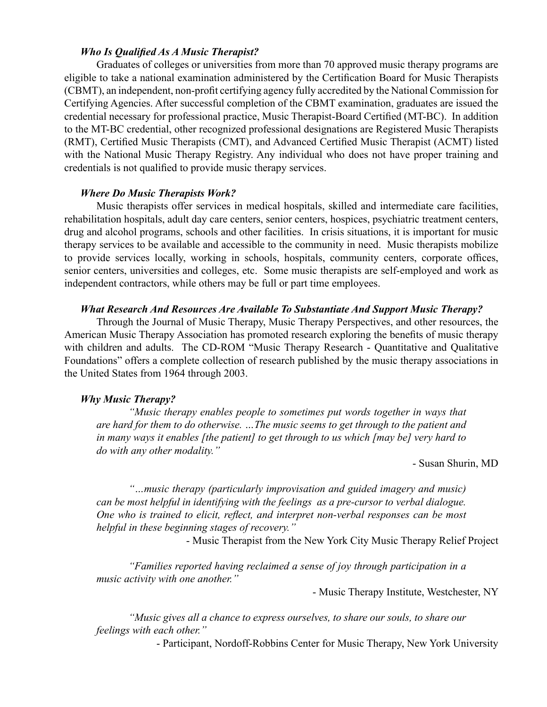#### *Who Is Qualified As A Music Therapist?*

Graduates of colleges or universities from more than 70 approved music therapy programs are eligible to take a national examination administered by the Certification Board for Music Therapists (CBMT), an independent, non-profit certifying agency fully accredited by the National Commission for Certifying Agencies. After successful completion of the CBMT examination, graduates are issued the credential necessary for professional practice, Music Therapist-Board Certified (MT-BC). In addition to the MT-BC credential, other recognized professional designations are Registered Music Therapists (RMT), Certified Music Therapists (CMT), and Advanced Certified Music Therapist (ACMT) listed with the National Music Therapy Registry. Any individual who does not have proper training and credentials is not qualified to provide music therapy services.

#### *Where Do Music Therapists Work?*

Music therapists offer services in medical hospitals, skilled and intermediate care facilities, rehabilitation hospitals, adult day care centers, senior centers, hospices, psychiatric treatment centers, drug and alcohol programs, schools and other facilities. In crisis situations, it is important for music therapy services to be available and accessible to the community in need. Music therapists mobilize to provide services locally, working in schools, hospitals, community centers, corporate offices, senior centers, universities and colleges, etc. Some music therapists are self-employed and work as independent contractors, while others may be full or part time employees.

#### *What Research And Resources Are Available To Substantiate And Support Music Therapy?*

Through the Journal of Music Therapy, Music Therapy Perspectives, and other resources, the American Music Therapy Association has promoted research exploring the benefits of music therapy with children and adults. The CD-ROM "Music Therapy Research - Quantitative and Qualitative Foundations" offers a complete collection of research published by the music therapy associations in the United States from 1964 through 2003.

#### *Why Music Therapy?*

*"Music therapy enables people to sometimes put words together in ways that are hard for them to do otherwise. …The music seems to get through to the patient and in many ways it enables [the patient] to get through to us which [may be] very hard to do with any other modality."*

- Susan Shurin, MD

*"…music therapy (particularly improvisation and guided imagery and music) can be most helpful in identifying with the feelings as a pre-cursor to verbal dialogue. One who is trained to elicit, reflect, and interpret non-verbal responses can be most helpful in these beginning stages of recovery."*

- Music Therapist from the New York City Music Therapy Relief Project

*"Families reported having reclaimed a sense of joy through participation in a music activity with one another."*

- Music Therapy Institute, Westchester, NY

*"Music gives all a chance to express ourselves, to share our souls, to share our feelings with each other."*

- Participant, Nordoff-Robbins Center for Music Therapy, New York University